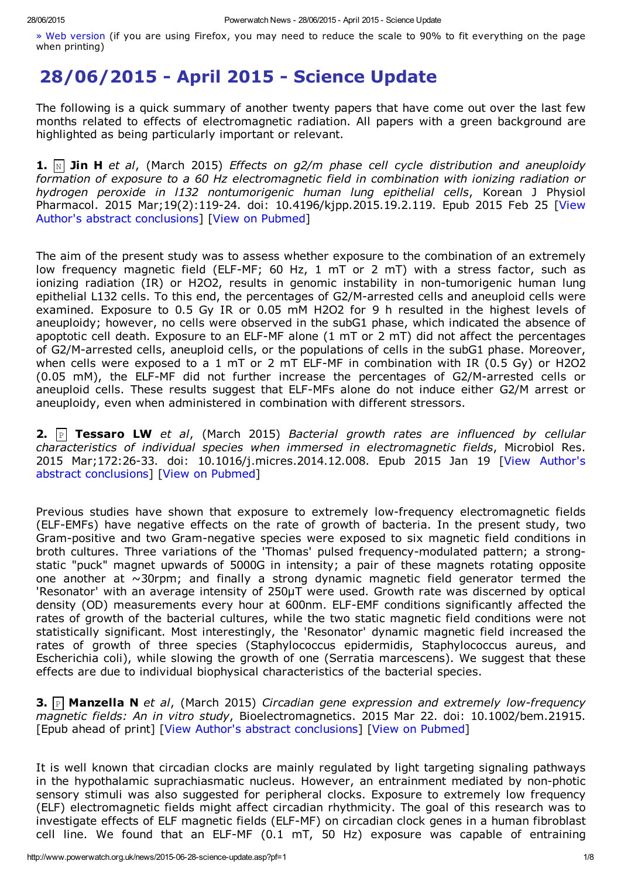» Web [version](http://www.powerwatch.org.uk/news/2015-06-28-science-update.asp?pf=0) (if you are using Firefox, you may need to reduce the scale to 90% to fit everything on the page when printing)

## 28/06/2015 - April 2015 - Science Update

The following is a quick summary of another twenty papers that have come out over the last few months related to effects of electromagnetic radiation. All papers with a green background are highlighted as being particularly important or relevant.

1. N Jin H *et al*, (March 2015) *Effects on g2/m phase cell cycle distribution and aneuploidy formation of exposure to a 60 Hz electromagnetic field in combination with ionizing radiation or hydrogen peroxide in l132 nontumorigenic human lung epithelial cells*, Korean J Physiol Pharmacol. 2015 Mar;19(2):119-24. doi: 10.4196/kjpp.2015.19.2.119. Epub 2015 Feb 25 [View Author's abstract conclusions] [View on [Pubmed](http://www.ncbi.nlm.nih.gov/pubmed/25729273)]

The aim of the present study was to assess whether exposure to the combination of an extremely low frequency magnetic field (ELF-MF; 60 Hz, 1 mT or 2 mT) with a stress factor, such as ionizing radiation (IR) or H2O2, results in genomic instability in non-tumorigenic human lung epithelial L132 cells. To this end, the percentages of G2/M-arrested cells and aneuploid cells were examined. Exposure to 0.5 Gy IR or 0.05 mM H2O2 for 9 h resulted in the highest levels of aneuploidy; however, no cells were observed in the subG1 phase, which indicated the absence of apoptotic cell death. Exposure to an ELF-MF alone  $(1 \text{ mT or } 2 \text{ mT})$  did not affect the percentages of G2/M-arrested cells, aneuploid cells, or the populations of cells in the subG1 phase. Moreover, when cells were exposed to a 1 mT or 2 mT ELF-MF in combination with IR (0.5 Gy) or H2O2  $(0.05$  mM), the ELF-MF did not further increase the percentages of G2/M-arrested cells or aneuploid cells. These results suggest that ELF-MFs alone do not induce either G2/M arrest or aneuploidy, even when administered in combination with different stressors.

**2.**  $\boxed{P}$  Tessaro LW et al, (March 2015) *Bacterial growth rates are influenced by cellular characteristics of individual species when immersed in electromagnetic fields*, Microbiol Res. 2015 Mar;172:26-33. doi: 10.1016/j.micres.2014.12.008. Epub 2015 Jan 19 [View Author's abstract conclusions] [View on [Pubmed](http://www.ncbi.nlm.nih.gov/pubmed/25721476)]

Previous studies have shown that exposure to extremely low-frequency electromagnetic fields (ELF-EMFs) have negative effects on the rate of growth of bacteria. In the present study, two Gram-positive and two Gram-negative species were exposed to six magnetic field conditions in broth cultures. Three variations of the 'Thomas' pulsed frequency-modulated pattern; a strongstatic "puck" magnet upwards of 5000G in intensity; a pair of these magnets rotating opposite one another at  $\sim$ 30rpm; and finally a strong dynamic magnetic field generator termed the 'Resonator' with an average intensity of 250µT were used. Growth rate was discerned by optical density (OD) measurements every hour at 600nm. ELF-EMF conditions significantly affected the rates of growth of the bacterial cultures, while the two static magnetic field conditions were not statistically significant. Most interestingly, the 'Resonator' dynamic magnetic field increased the rates of growth of three species (Staphylococcus epidermidis, Staphylococcus aureus, and Escherichia coli), while slowing the growth of one (Serratia marcescens). We suggest that these effects are due to individual biophysical characteristics of the bacterial species.

**3.** P **Manzella N** *et al,* (March 2015) *Circadian gene expression and extremely low-frequency magnetic fields: An in vitro study*, Bioelectromagnetics. 2015 Mar 22. doi: 10.1002/bem.21915. [Epub ahead of print] [View Author's abstract conclusions] [View on [Pubmed](http://www.ncbi.nlm.nih.gov/pubmed/25808738)]

It is well known that circadian clocks are mainly regulated by light targeting signaling pathways in the hypothalamic suprachiasmatic nucleus. However, an entrainment mediated by non-photic sensory stimuli was also suggested for peripheral clocks. Exposure to extremely low frequency (ELF) electromagnetic fields might affect circadian rhythmicity. The goal of this research was to investigate effects of ELF magnetic fields (ELF-MF) on circadian clock genes in a human fibroblast cell line. We found that an ELF-MF  $(0.1 \text{ mT}, 50 \text{ Hz})$  exposure was capable of entraining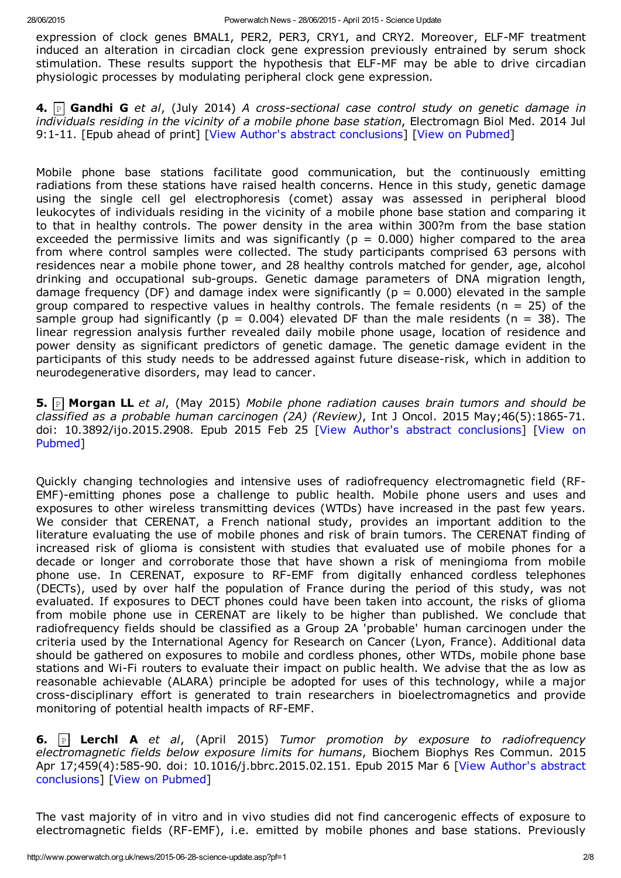expression of clock genes BMAL1, PER2, PER3, CRY1, and CRY2. Moreover, ELF-MF treatment induced an alteration in circadian clock gene expression previously entrained by serum shock stimulation. These results support the hypothesis that ELF-MF may be able to drive circadian physiologic processes by modulating peripheral clock gene expression.

4. P Gandhi G *et al*, (July 2014) *A crosssectional case control study on genetic damage in individuals residing in the vicinity of a mobile phone base station*, Electromagn Biol Med. 2014 Jul 9:111. [Epub ahead of print] [View Author's abstract conclusions] [View on [Pubmed\]](http://www.ncbi.nlm.nih.gov/pubmed/25006864)

Mobile phone base stations facilitate good communication, but the continuously emitting radiations from these stations have raised health concerns. Hence in this study, genetic damage using the single cell gel electrophoresis (comet) assay was assessed in peripheral blood leukocytes of individuals residing in the vicinity of a mobile phone base station and comparing it to that in healthy controls. The power density in the area within 300?m from the base station exceeded the permissive limits and was significantly ( $p = 0.000$ ) higher compared to the area from where control samples were collected. The study participants comprised 63 persons with residences near a mobile phone tower, and 28 healthy controls matched for gender, age, alcohol drinking and occupational sub-groups. Genetic damage parameters of DNA migration length, damage frequency (DF) and damage index were significantly ( $p = 0.000$ ) elevated in the sample group compared to respective values in healthy controls. The female residents ( $n = 25$ ) of the sample group had significantly ( $p = 0.004$ ) elevated DF than the male residents ( $n = 38$ ). The linear regression analysis further revealed daily mobile phone usage, location of residence and power density as significant predictors of genetic damage. The genetic damage evident in the participants of this study needs to be addressed against future disease-risk, which in addition to neurodegenerative disorders, may lead to cancer.

5. P Morgan LL *et al*, (May 2015) *Mobile phone radiation causes brain tumors and should be classified as a probable human carcinogen (2A) (Review), Int J Oncol. 2015 May;46(5):1865-71.* doi: [10.3892/ijo.2015.2908.](http://www.ncbi.nlm.nih.gov/pubmed/25738972) Epub 2015 Feb 25 [View Author's abstract conclusions] [View on Pubmed]

Quickly changing technologies and intensive uses of radiofrequency electromagnetic field (RF-EMF)-emitting phones pose a challenge to public health. Mobile phone users and uses and exposures to other wireless transmitting devices (WTDs) have increased in the past few years. We consider that CERENAT, a French national study, provides an important addition to the literature evaluating the use of mobile phones and risk of brain tumors. The CERENAT finding of increased risk of glioma is consistent with studies that evaluated use of mobile phones for a decade or longer and corroborate those that have shown a risk of meningioma from mobile phone use. In CERENAT, exposure to RF-EMF from digitally enhanced cordless telephones (DECTs), used by over half the population of France during the period of this study, was not evaluated. If exposures to DECT phones could have been taken into account, the risks of glioma from mobile phone use in CERENAT are likely to be higher than published. We conclude that radiofrequency fields should be classified as a Group 2A 'probable' human carcinogen under the criteria used by the International Agency for Research on Cancer (Lyon, France). Additional data should be gathered on exposures to mobile and cordless phones, other WTDs, mobile phone base stations and Wi-Fi routers to evaluate their impact on public health. We advise that the as low as reasonable achievable (ALARA) principle be adopted for uses of this technology, while a major cross-disciplinary effort is generated to train researchers in bioelectromagnetics and provide monitoring of potential health impacts of RF-EMF.

**6.**  $\left| \begin{matrix} \cdot & \cdot & \cdot \\ \cdot & \cdot & \cdot \\ \cdot & \cdot & \cdot \end{matrix} \right|$  **Lerchl A** *et al*, (April 2015) *Tumor promotion by exposure to radiofrequency electromagnetic fields below exposure limits for humans*, Biochem Biophys Res Commun. 2015 Apr 17;459(4):585-90. doi: 10.1016/j.bbrc.2015.02.151. Epub 2015 Mar 6 [View Author's abstract conclusions] [View on [Pubmed\]](http://www.ncbi.nlm.nih.gov/pubmed/25749340)

The vast majority of in vitro and in vivo studies did not find cancerogenic effects of exposure to electromagnetic fields (RF-EMF), i.e. emitted by mobile phones and base stations. Previously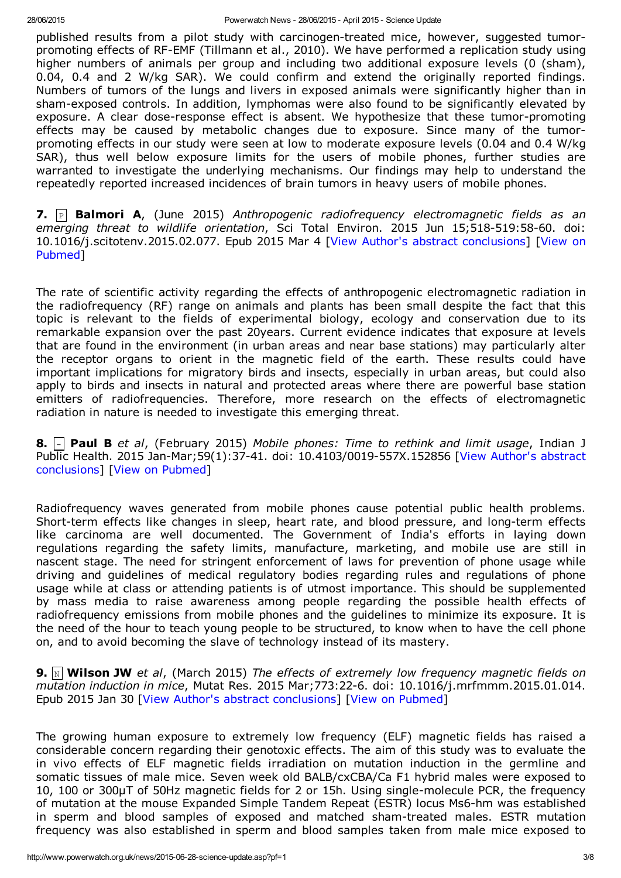published results from a pilot study with carcinogen-treated mice, however, suggested tumorpromoting effects of RF-EMF (Tillmann et al., 2010). We have performed a replication study using higher numbers of animals per group and including two additional exposure levels (0 (sham), 0.04, 0.4 and 2 W/kg SAR). We could confirm and extend the originally reported findings. Numbers of tumors of the lungs and livers in exposed animals were significantly higher than in shamexposed controls. In addition, lymphomas were also found to be significantly elevated by exposure. A clear dose-response effect is absent. We hypothesize that these tumor-promoting effects may be caused by metabolic changes due to exposure. Since many of the tumorpromoting effects in our study were seen at low to moderate exposure levels (0.04 and 0.4 W/kg SAR), thus well below exposure limits for the users of mobile phones, further studies are warranted to investigate the underlying mechanisms. Our findings may help to understand the repeatedly reported increased incidences of brain tumors in heavy users of mobile phones.

7. P Balmori A, (June 2015) *Anthropogenic radiofrequency electromagnetic fields as an emerging threat to wildlife orientation*, Sci Total Environ. 2015 Jun 15;518-519:58-60. doi: [10.1016/j.scitotenv.2015.02.077.](http://www.ncbi.nlm.nih.gov/pubmed/25747364) Epub 2015 Mar 4 [View Author's abstract conclusions] [View on Pubmed]

The rate of scientific activity regarding the effects of anthropogenic electromagnetic radiation in the radiofrequency (RF) range on animals and plants has been small despite the fact that this topic is relevant to the fields of experimental biology, ecology and conservation due to its remarkable expansion over the past 20years. Current evidence indicates that exposure at levels that are found in the environment (in urban areas and near base stations) may particularly alter the receptor organs to orient in the magnetic field of the earth. These results could have important implications for migratory birds and insects, especially in urban areas, but could also apply to birds and insects in natural and protected areas where there are powerful base station emitters of radiofrequencies. Therefore, more research on the effects of electromagnetic radiation in nature is needed to investigate this emerging threat.

8. Paul B *et al*, (February 2015) *Mobile phones: Time to rethink and limit usage*, Indian J Public Health. 2015 Jan-Mar; 59(1): 37-41. doi: 10.4103/0019-557X. 152856 [View Author's abstract conclusions] [View on [Pubmed\]](http://www.ncbi.nlm.nih.gov/pubmed/25758729)

Radiofrequency waves generated from mobile phones cause potential public health problems. Short-term effects like changes in sleep, heart rate, and blood pressure, and long-term effects like carcinoma are well documented. The Government of India's efforts in laying down regulations regarding the safety limits, manufacture, marketing, and mobile use are still in nascent stage. The need for stringent enforcement of laws for prevention of phone usage while driving and guidelines of medical regulatory bodies regarding rules and regulations of phone usage while at class or attending patients is of utmost importance. This should be supplemented by mass media to raise awareness among people regarding the possible health effects of radiofrequency emissions from mobile phones and the guidelines to minimize its exposure. It is the need of the hour to teach young people to be structured, to know when to have the cell phone on, and to avoid becoming the slave of technology instead of its mastery.

9. N Wilson JW *et al*, (March 2015) *The effects of extremely low frequency magnetic fields on mutation induction in mice*, Mutat Res. 2015 Mar;773:226. doi: 10.1016/j.mrfmmm.2015.01.014. Epub 2015 Jan 30 [View Author's abstract conclusions] [View on [Pubmed](http://www.ncbi.nlm.nih.gov/pubmed/25769183)]

The growing human exposure to extremely low frequency (ELF) magnetic fields has raised a considerable concern regarding their genotoxic effects. The aim of this study was to evaluate the in vivo effects of ELF magnetic fields irradiation on mutation induction in the germline and somatic tissues of male mice. Seven week old BALB/cxCBA/Ca F1 hybrid males were exposed to 10, 100 or 300µT of 50Hz magnetic fields for 2 or 15h. Using singlemolecule PCR, the frequency of mutation at the mouse Expanded Simple Tandem Repeat (ESTR) locus Ms6-hm was established in sperm and blood samples of exposed and matched sham-treated males. ESTR mutation frequency was also established in sperm and blood samples taken from male mice exposed to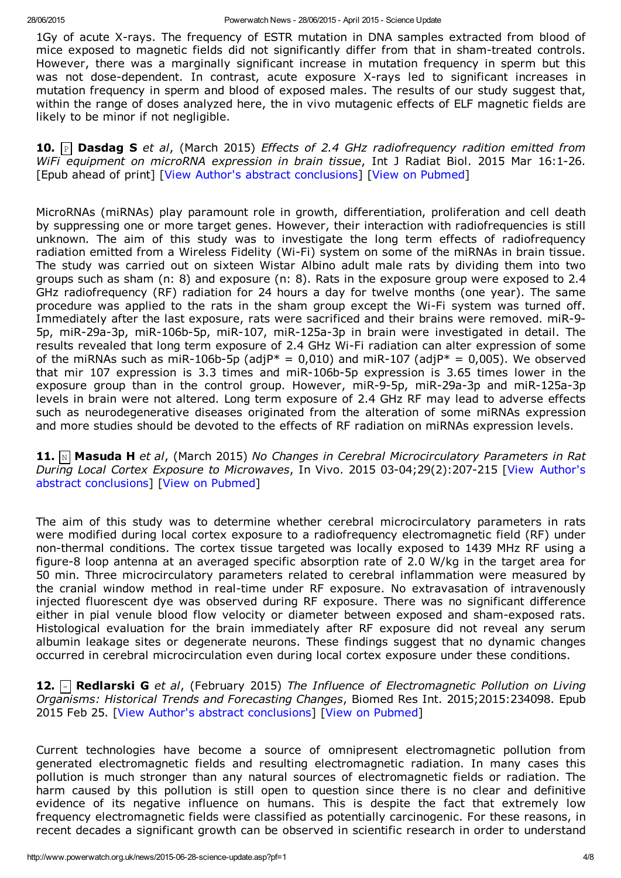1Gy of acute X-rays. The frequency of ESTR mutation in DNA samples extracted from blood of mice exposed to magnetic fields did not significantly differ from that in sham-treated controls. However, there was a marginally significant increase in mutation frequency in sperm but this was not dose-dependent. In contrast, acute exposure X-rays led to significant increases in mutation frequency in sperm and blood of exposed males. The results of our study suggest that, within the range of doses analyzed here, the in vivo mutagenic effects of ELF magnetic fields are likely to be minor if not negligible.

10. P Dasdag S *et al*, (March 2015) *Effects of 2.4 GHz radiofrequency radition emitted from WiFi equipment on microRNA expression in brain tissue*, Int J Radiat Biol. 2015 Mar 16:126. [Epub ahead of print] [View Author's abstract conclusions] [View on [Pubmed](http://www.ncbi.nlm.nih.gov/pubmed/25775055)]

MicroRNAs (miRNAs) play paramount role in growth, differentiation, proliferation and cell death by suppressing one or more target genes. However, their interaction with radiofrequencies is still unknown. The aim of this study was to investigate the long term effects of radiofrequency radiation emitted from a Wireless Fidelity (Wi-Fi) system on some of the miRNAs in brain tissue. The study was carried out on sixteen Wistar Albino adult male rats by dividing them into two groups such as sham (n: 8) and exposure (n: 8). Rats in the exposure group were exposed to 2.4 GHz radiofrequency (RF) radiation for 24 hours a day for twelve months (one year). The same procedure was applied to the rats in the sham group except the Wi-Fi system was turned off. Immediately after the last exposure, rats were sacrificed and their brains were removed. miR-9-5p, miR-29a-3p, miR-106b-5p, miR-107, miR-125a-3p in brain were investigated in detail. The results revealed that long term exposure of 2.4 GHz Wi-Fi radiation can alter expression of some of the miRNAs such as miR-106b-5p (adjP\* = 0,010) and miR-107 (adjP\* = 0,005). We observed that mir 107 expression is 3.3 times and miR-106b-5p expression is 3.65 times lower in the exposure group than in the control group. However, miR-9-5p, miR-29a-3p and miR-125a-3p levels in brain were not altered. Long term exposure of 2.4 GHz RF may lead to adverse effects such as neurodegenerative diseases originated from the alteration of some miRNAs expression and more studies should be devoted to the effects of RF radiation on miRNAs expression levels.

11. N Masuda H *et al*, (March 2015) *No Changes in Cerebral Microcirculatory Parameters in Rat During Local Cortex Exposure to Microwaves, In Vivo. 2015 03-04;29(2):207-215 [View Author's* abstract conclusions] [View on [Pubmed](http://www.ncbi.nlm.nih.gov/pubmed/25792647)]

The aim of this study was to determine whether cerebral microcirculatory parameters in rats were modified during local cortex exposure to a radiofrequency electromagnetic field (RF) under non-thermal conditions. The cortex tissue targeted was locally exposed to 1439 MHz RF using a figure-8 loop antenna at an averaged specific absorption rate of 2.0 W/kg in the target area for 50 min. Three microcirculatory parameters related to cerebral inflammation were measured by the cranial window method in real-time under RF exposure. No extravasation of intravenously injected fluorescent dye was observed during RF exposure. There was no significant difference either in pial venule blood flow velocity or diameter between exposed and sham-exposed rats. Histological evaluation for the brain immediately after RF exposure did not reveal any serum albumin leakage sites or degenerate neurons. These findings suggest that no dynamic changes occurred in cerebral microcirculation even during local cortex exposure under these conditions.

12. Redlarski G *et al*, (February 2015) *The Influence of Electromagnetic Pollution on Living Organisms: Historical Trends and Forecasting Changes*, Biomed Res Int. 2015;2015:234098. Epub 2015 Feb 25. [View Author's abstract conclusions] [View on [Pubmed](http://www.ncbi.nlm.nih.gov/pubmed/25811025)]

Current technologies have become a source of omnipresent electromagnetic pollution from generated electromagnetic fields and resulting electromagnetic radiation. In many cases this pollution is much stronger than any natural sources of electromagnetic fields or radiation. The harm caused by this pollution is still open to question since there is no clear and definitive evidence of its negative influence on humans. This is despite the fact that extremely low frequency electromagnetic fields were classified as potentially carcinogenic. For these reasons, in recent decades a significant growth can be observed in scientific research in order to understand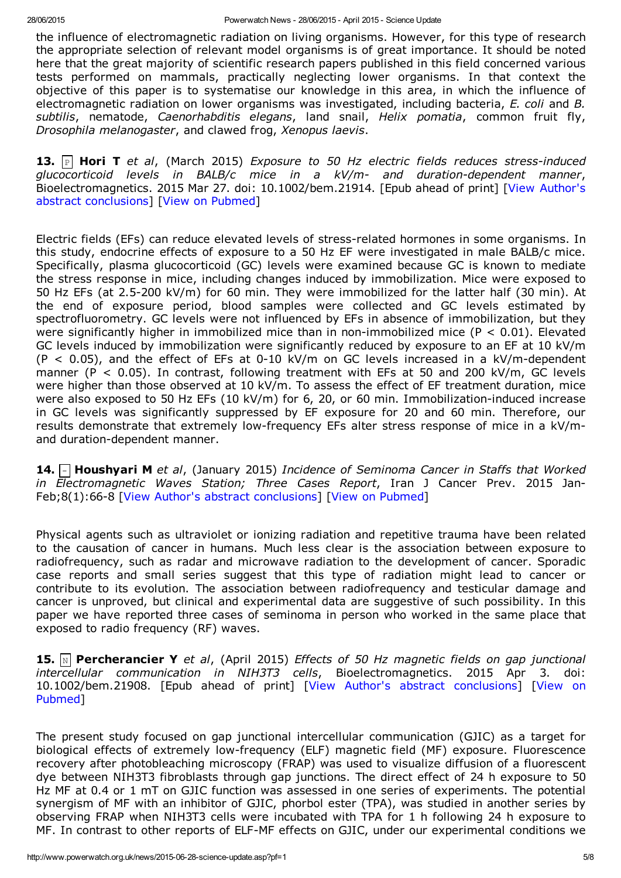the influence of electromagnetic radiation on living organisms. However, for this type of research the appropriate selection of relevant model organisms is of great importance. It should be noted here that the great majority of scientific research papers published in this field concerned various tests performed on mammals, practically neglecting lower organisms. In that context the objective of this paper is to systematise our knowledge in this area, in which the influence of electromagnetic radiation on lower organisms was investigated, including bacteria, *E. coli* and *B. subtilis*, nematode, *Caenorhabditis elegans*, land snail, *Helix pomatia*, common fruit fly, *Drosophila melanogaster*, and clawed frog, *Xenopus laevis*.

13. P Hori T *et al*, (March 2015) *Exposure to 50 Hz electric fields reduces stressinduced glucocorticoid levels in BALB/c mice in a kV/m and durationdependent manner*, Bioelectromagnetics. 2015 Mar 27. doi: 10.1002/bem.21914. [Epub ahead of print] [View Author's abstract conclusions] [View on [Pubmed](http://www.ncbi.nlm.nih.gov/pubmed/25821169)]

Electric fields (EFs) can reduce elevated levels of stress-related hormones in some organisms. In this study, endocrine effects of exposure to a 50 Hz EF were investigated in male BALB/c mice. Specifically, plasma glucocorticoid (GC) levels were examined because GC is known to mediate the stress response in mice, including changes induced by immobilization. Mice were exposed to 50 Hz EFs (at 2.5-200 kV/m) for 60 min. They were immobilized for the latter half (30 min). At the end of exposure period, blood samples were collected and GC levels estimated by spectrofluorometry. GC levels were not influenced by EFs in absence of immobilization, but they were significantly higher in immobilized mice than in non-immobilized mice ( $P < 0.01$ ). Elevated GC levels induced by immobilization were significantly reduced by exposure to an EF at 10 kV/m  $(P < 0.05)$ , and the effect of EFs at 0-10 kV/m on GC levels increased in a kV/m-dependent manner (P < 0.05). In contrast, following treatment with EFs at 50 and 200 kV/m, GC levels were higher than those observed at 10 kV/m. To assess the effect of EF treatment duration, mice were also exposed to 50 Hz EFs  $(10 \text{ kV/m})$  for 6, 20, or 60 min. Immobilization-induced increase in GC levels was significantly suppressed by EF exposure for 20 and 60 min. Therefore, our results demonstrate that extremely low-frequency EFs alter stress response of mice in a  $kV/m$ and duration-dependent manner.

14. Houshyari M *et al*, (January 2015) *Incidence of Seminoma Cancer in Staffs that Worked in Electromagnetic Waves Station; Three Cases Report*, Iran J Cancer Prev. 2015 Jan-Feb;8(1):66-8 [View Author's abstract conclusions] [View on [Pubmed](http://www.ncbi.nlm.nih.gov/pubmed/25821575)]

Physical agents such as ultraviolet or ionizing radiation and repetitive trauma have been related to the causation of cancer in humans. Much less clear is the association between exposure to radiofrequency, such as radar and microwave radiation to the development of cancer. Sporadic case reports and small series suggest that this type of radiation might lead to cancer or contribute to its evolution. The association between radiofrequency and testicular damage and cancer is unproved, but clinical and experimental data are suggestive of such possibility. In this paper we have reported three cases of seminoma in person who worked in the same place that exposed to radio frequency (RF) waves.

15. N Percherancier Y *et al*, (April 2015) *Effects of 50 Hz magnetic fields on gap junctional intercellular communication in NIH3T3 cells*, Bioelectromagnetics. 2015 Apr 3. doi: [10.1002/bem.21908.](http://www.ncbi.nlm.nih.gov/pubmed/25846808) [Epub ahead of print] [View Author's abstract conclusions] [View on Pubmed]

The present study focused on gap junctional intercellular communication (GJIC) as a target for biological effects of extremely low-frequency (ELF) magnetic field (MF) exposure. Fluorescence recovery after photobleaching microscopy (FRAP) was used to visualize diffusion of a fluorescent dye between NIH3T3 fibroblasts through gap junctions. The direct effect of 24 h exposure to 50 Hz MF at 0.4 or 1 mT on GJIC function was assessed in one series of experiments. The potential synergism of MF with an inhibitor of GJIC, phorbol ester (TPA), was studied in another series by observing FRAP when NIH3T3 cells were incubated with TPA for 1 h following 24 h exposure to MF. In contrast to other reports of ELF-MF effects on GJIC, under our experimental conditions we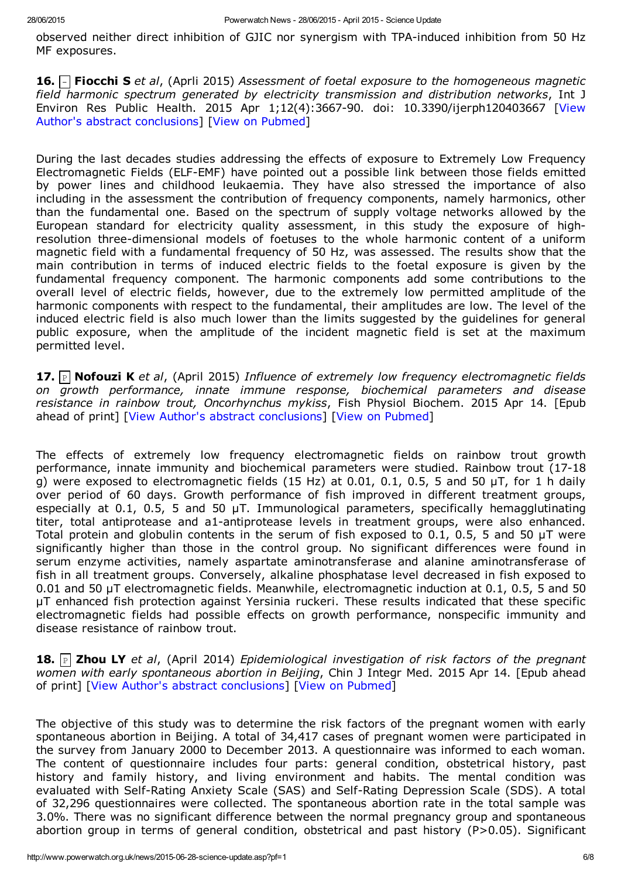observed neither direct inhibition of GJIC nor synergism with TPA-induced inhibition from 50 Hz MF exposures.

16. Fiocchi S *et al*, (Aprli 2015) *Assessment of foetal exposure to the homogeneous magnetic field harmonic spectrum generated by electricity transmission and distribution networks*, Int J Environ Res Public Health. 2015 Apr 1;12(4):3667-90. doi: 10.3390/ijerph120403667 [View Author's abstract conclusions] [View on [Pubmed](http://www.ncbi.nlm.nih.gov/pubmed/25837346)]

During the last decades studies addressing the effects of exposure to Extremely Low Frequency Electromagnetic Fields (ELF-EMF) have pointed out a possible link between those fields emitted by power lines and childhood leukaemia. They have also stressed the importance of also including in the assessment the contribution of frequency components, namely harmonics, other than the fundamental one. Based on the spectrum of supply voltage networks allowed by the European standard for electricity quality assessment, in this study the exposure of highresolution three-dimensional models of foetuses to the whole harmonic content of a uniform magnetic field with a fundamental frequency of 50 Hz, was assessed. The results show that the main contribution in terms of induced electric fields to the foetal exposure is given by the fundamental frequency component. The harmonic components add some contributions to the overall level of electric fields, however, due to the extremely low permitted amplitude of the harmonic components with respect to the fundamental, their amplitudes are low. The level of the induced electric field is also much lower than the limits suggested by the guidelines for general public exposure, when the amplitude of the incident magnetic field is set at the maximum permitted level.

17. P Nofouzi K *et al*, (April 2015) *Influence of extremely low frequency electromagnetic fields on growth performance, innate immune response, biochemical parameters and disease resistance in rainbow trout, Oncorhynchus mykiss*, Fish Physiol Biochem. 2015 Apr 14. [Epub ahead of print] [View Author's abstract conclusions] [View on [Pubmed\]](http://www.ncbi.nlm.nih.gov/pubmed/25869215)

The effects of extremely low frequency electromagnetic fields on rainbow trout growth performance, innate immunity and biochemical parameters were studied. Rainbow trout (1718 g) were exposed to electromagnetic fields (15 Hz) at 0.01, 0.1, 0.5, 5 and 50  $\mu$ T, for 1 h daily over period of 60 days. Growth performance of fish improved in different treatment groups, especially at 0.1, 0.5, 5 and 50  $\mu$ T. Immunological parameters, specifically hemagglutinating titer, total antiprotease and a1-antiprotease levels in treatment groups, were also enhanced. Total protein and globulin contents in the serum of fish exposed to 0.1, 0.5, 5 and 50  $\mu$ T were significantly higher than those in the control group. No significant differences were found in serum enzyme activities, namely aspartate aminotransferase and alanine aminotransferase of fish in all treatment groups. Conversely, alkaline phosphatase level decreased in fish exposed to 0.01 and 50 µT electromagnetic fields. Meanwhile, electromagnetic induction at 0.1, 0.5, 5 and 50 µT enhanced fish protection against Yersinia ruckeri. These results indicated that these specific electromagnetic fields had possible effects on growth performance, nonspecific immunity and disease resistance of rainbow trout.

18. P Zhou LY *et al*, (April 2014) *Epidemiological investigation of risk factors of the pregnant women with early spontaneous abortion in Beijing*, Chin J Integr Med. 2015 Apr 14. [Epub ahead of print] [View Author's abstract conclusions] [View on [Pubmed\]](http://www.ncbi.nlm.nih.gov/pubmed/25877464)

The objective of this study was to determine the risk factors of the pregnant women with early spontaneous abortion in Beijing. A total of 34,417 cases of pregnant women were participated in the survey from January 2000 to December 2013. A questionnaire was informed to each woman. The content of questionnaire includes four parts: general condition, obstetrical history, past history and family history, and living environment and habits. The mental condition was evaluated with Self-Rating Anxiety Scale (SAS) and Self-Rating Depression Scale (SDS). A total of 32,296 questionnaires were collected. The spontaneous abortion rate in the total sample was 3.0%. There was no significant difference between the normal pregnancy group and spontaneous abortion group in terms of general condition, obstetrical and past history (P>0.05). Significant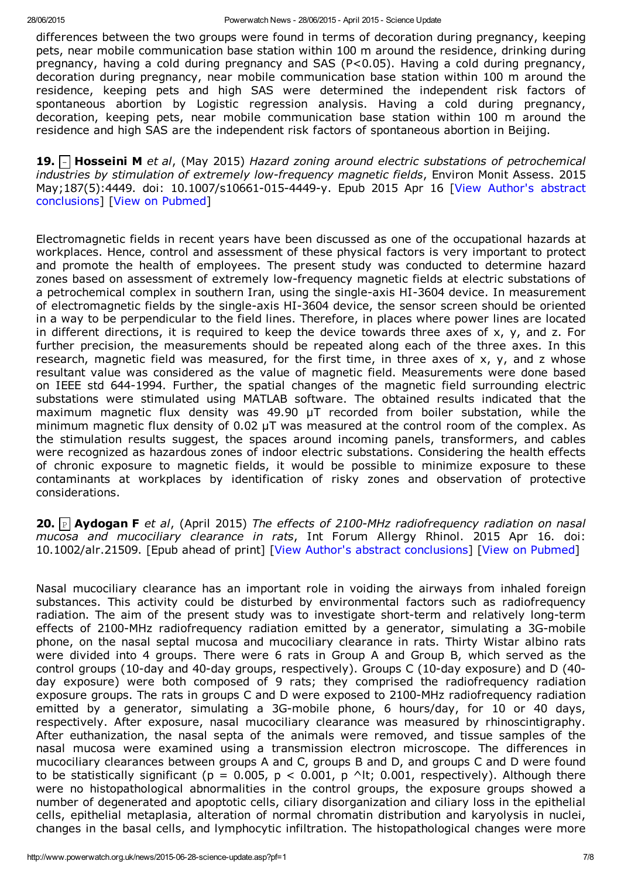differences between the two groups were found in terms of decoration during pregnancy, keeping pets, near mobile communication base station within 100 m around the residence, drinking during pregnancy, having a cold during pregnancy and SAS (P<0.05). Having a cold during pregnancy, decoration during pregnancy, near mobile communication base station within 100 m around the residence, keeping pets and high SAS were determined the independent risk factors of spontaneous abortion by Logistic regression analysis. Having a cold during pregnancy, decoration, keeping pets, near mobile communication base station within 100 m around the residence and high SAS are the independent risk factors of spontaneous abortion in Beijing.

19. Hosseini M *et al*, (May 2015) *Hazard zoning around electric substations of petrochemical industries by stimulation of extremely lowfrequency magnetic fields*, Environ Monit Assess. 2015 May;187(5):4449. doi: 10.1007/s10661-015-4449-y. Epub 2015 Apr 16 [View Author's abstract conclusions] [View on [Pubmed\]](http://www.ncbi.nlm.nih.gov/pubmed/25877640)

Electromagnetic fields in recent years have been discussed as one of the occupational hazards at workplaces. Hence, control and assessment of these physical factors is very important to protect and promote the health of employees. The present study was conducted to determine hazard zones based on assessment of extremely low-frequency magnetic fields at electric substations of a petrochemical complex in southern Iran, using the single-axis HI-3604 device. In measurement of electromagnetic fields by the single-axis HI-3604 device, the sensor screen should be oriented in a way to be perpendicular to the field lines. Therefore, in places where power lines are located in different directions, it is required to keep the device towards three axes of x, y, and z. For further precision, the measurements should be repeated along each of the three axes. In this research, magnetic field was measured, for the first time, in three axes of  $x$ ,  $y$ , and z whose resultant value was considered as the value of magnetic field. Measurements were done based on IEEE std 644-1994. Further, the spatial changes of the magnetic field surrounding electric substations were stimulated using MATLAB software. The obtained results indicated that the maximum magnetic flux density was 49.90 µT recorded from boiler substation, while the minimum magnetic flux density of 0.02 µT was measured at the control room of the complex. As the stimulation results suggest, the spaces around incoming panels, transformers, and cables were recognized as hazardous zones of indoor electric substations. Considering the health effects of chronic exposure to magnetic fields, it would be possible to minimize exposure to these contaminants at workplaces by identification of risky zones and observation of protective considerations.

20. P Aydogan F *et al*, (April 2015) *The effects of 2100MHz radiofrequency radiation on nasal mucosa and mucociliary clearance in rats*, Int Forum Allergy Rhinol. 2015 Apr 16. doi: 10.1002/alr.21509. [Epub ahead of print] [View Author's abstract conclusions] [View on [Pubmed\]](http://www.ncbi.nlm.nih.gov/pubmed/25885019)

Nasal mucociliary clearance has an important role in voiding the airways from inhaled foreign substances. This activity could be disturbed by environmental factors such as radiofrequency radiation. The aim of the present study was to investigate short-term and relatively long-term effects of 2100-MHz radiofrequency radiation emitted by a generator, simulating a 3G-mobile phone, on the nasal septal mucosa and mucociliary clearance in rats. Thirty Wistar albino rats were divided into 4 groups. There were 6 rats in Group A and Group B, which served as the control groups (10-day and 40-day groups, respectively). Groups C (10-day exposure) and D (40day exposure) were both composed of 9 rats; they comprised the radiofrequency radiation exposure groups. The rats in groups C and D were exposed to 2100-MHz radiofrequency radiation emitted by a generator, simulating a 3G-mobile phone, 6 hours/day, for 10 or 40 days, respectively. After exposure, nasal mucociliary clearance was measured by rhinoscintigraphy. After euthanization, the nasal septa of the animals were removed, and tissue samples of the nasal mucosa were examined using a transmission electron microscope. The differences in mucociliary clearances between groups A and C, groups B and D, and groups C and D were found to be statistically significant (p = 0.005, p < 0.001, p  $\wedge$ lt; 0.001, respectively). Although there were no histopathological abnormalities in the control groups, the exposure groups showed a number of degenerated and apoptotic cells, ciliary disorganization and ciliary loss in the epithelial cells, epithelial metaplasia, alteration of normal chromatin distribution and karyolysis in nuclei, changes in the basal cells, and lymphocytic infiltration. The histopathological changes were more